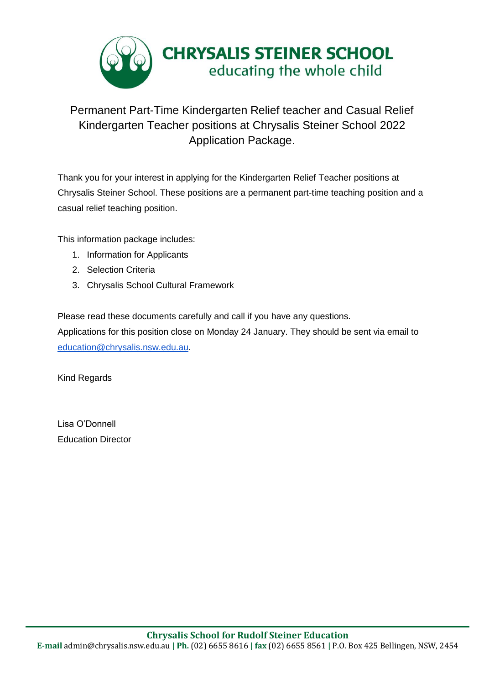

## Permanent Part-Time Kindergarten Relief teacher and Casual Relief Kindergarten Teacher positions at Chrysalis Steiner School 2022 Application Package.

Thank you for your interest in applying for the Kindergarten Relief Teacher positions at Chrysalis Steiner School. These positions are a permanent part-time teaching position and a casual relief teaching position.

This information package includes:

- 1. Information for Applicants
- 2. Selection Criteria
- 3. Chrysalis School Cultural Framework

Please read these documents carefully and call if you have any questions.

Applications for this position close on Monday 24 January. They should be sent via email to [education@chrysalis.nsw.edu.au.](mailto:education@chrysalis.nsw.edu.au)

Kind Regards

Lisa O'Donnell Education Director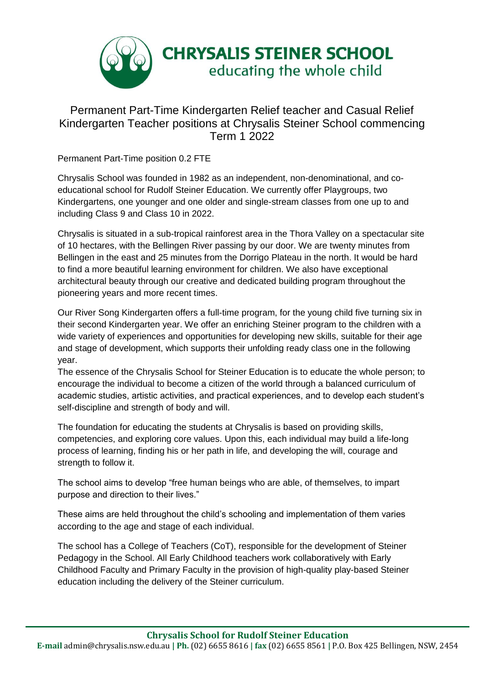

## Permanent Part-Time Kindergarten Relief teacher and Casual Relief Kindergarten Teacher positions at Chrysalis Steiner School commencing Term 1 2022

Permanent Part-Time position 0.2 FTE

Chrysalis School was founded in 1982 as an independent, non-denominational, and coeducational school for Rudolf Steiner Education. We currently offer Playgroups, two Kindergartens, one younger and one older and single-stream classes from one up to and including Class 9 and Class 10 in 2022.

Chrysalis is situated in a sub-tropical rainforest area in the Thora Valley on a spectacular site of 10 hectares, with the Bellingen River passing by our door. We are twenty minutes from Bellingen in the east and 25 minutes from the Dorrigo Plateau in the north. It would be hard to find a more beautiful learning environment for children. We also have exceptional architectural beauty through our creative and dedicated building program throughout the pioneering years and more recent times.

Our River Song Kindergarten offers a full-time program, for the young child five turning six in their second Kindergarten year. We offer an enriching Steiner program to the children with a wide variety of experiences and opportunities for developing new skills, suitable for their age and stage of development, which supports their unfolding ready class one in the following year.

The essence of the Chrysalis School for Steiner Education is to educate the whole person; to encourage the individual to become a citizen of the world through a balanced curriculum of academic studies, artistic activities, and practical experiences, and to develop each student's self-discipline and strength of body and will.

The foundation for educating the students at Chrysalis is based on providing skills, competencies, and exploring core values. Upon this, each individual may build a life-long process of learning, finding his or her path in life, and developing the will, courage and strength to follow it.

The school aims to develop "free human beings who are able, of themselves, to impart purpose and direction to their lives."

These aims are held throughout the child's schooling and implementation of them varies according to the age and stage of each individual.

The school has a College of Teachers (CoT), responsible for the development of Steiner Pedagogy in the School. All Early Childhood teachers work collaboratively with Early Childhood Faculty and Primary Faculty in the provision of high-quality play-based Steiner education including the delivery of the Steiner curriculum.